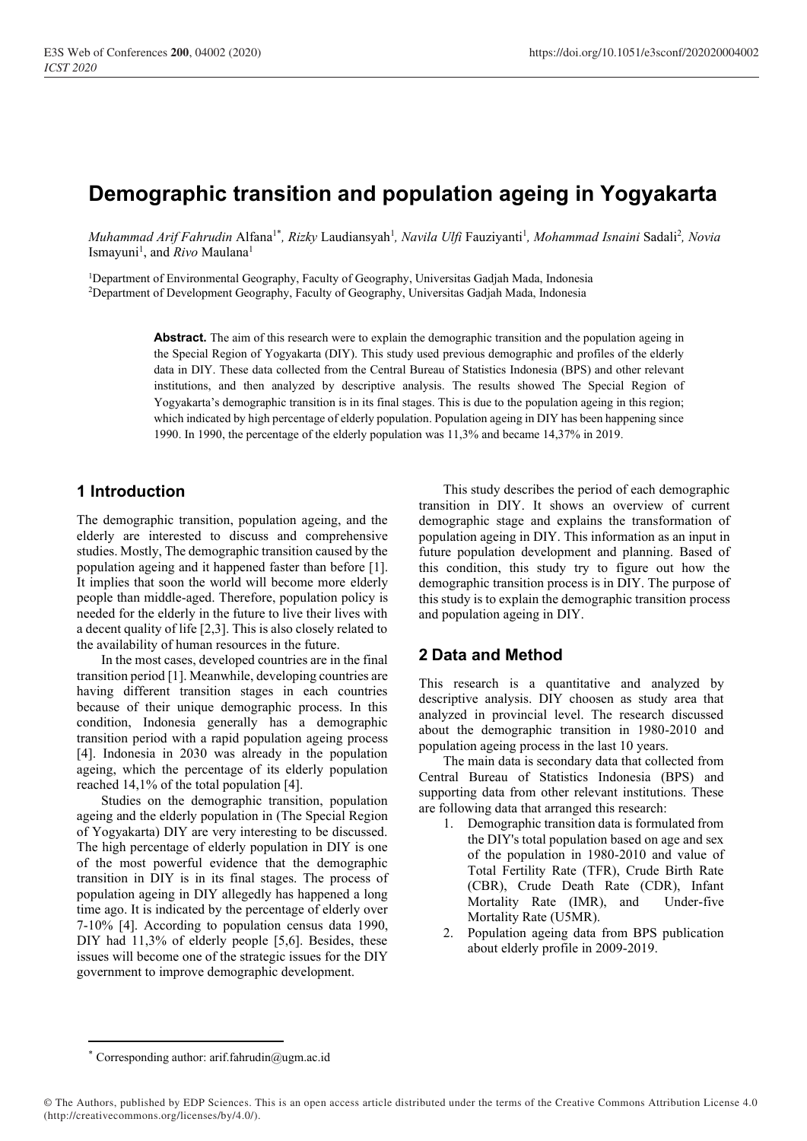# **Demographic transition and population ageing in Yogyakarta**

*Muhammad Arif Fahrudin Alfana<sup>1\*</sup>, Rizky* Laudiansyah<sup>1</sup>, *Navila Ulfi* Fauziyanti<sup>1</sup>, *Mohammad Isnaini* Sadali<sup>2</sup>, *Novia* Ismayuni 1 , and *Rivo* Maulana<sup>1</sup>

<sup>1</sup>Department of Environmental Geography, Faculty of Geography, Universitas Gadjah Mada, Indonesia <sup>2</sup>Department of Development Geography, Faculty of Geography, Universitas Gadjah Mada, Indonesia

> **Abstract.** The aim of this research were to explain the demographic transition and the population ageing in the Special Region of Yogyakarta (DIY). This study used previous demographic and profiles of the elderly data in DIY. These data collected from the Central Bureau of Statistics Indonesia (BPS) and other relevant institutions, and then analyzed by descriptive analysis. The results showed The Special Region of Yogyakarta's demographic transition is in its final stages. This is due to the population ageing in this region; which indicated by high percentage of elderly population. Population ageing in DIY has been happening since 1990. In 1990, the percentage of the elderly population was 11,3% and became 14,37% in 2019.

# **1 Introduction**

The demographic transition, population ageing, and the elderly are interested to discuss and comprehensive studies. Mostly, The demographic transition caused by the population ageing and it happened faster than before [1]. It implies that soon the world will become more elderly people than middle-aged. Therefore, population policy is needed for the elderly in the future to live their lives with a decent quality of life [2,3]. This is also closely related to the availability of human resources in the future.

In the most cases, developed countries are in the final transition period [1]. Meanwhile, developing countries are having different transition stages in each countries because of their unique demographic process. In this condition, Indonesia generally has a demographic transition period with a rapid population ageing process [4]. Indonesia in 2030 was already in the population ageing, which the percentage of its elderly population reached 14,1% of the total population [4].

Studies on the demographic transition, population ageing and the elderly population in (The Special Region of Yogyakarta) DIY are very interesting to be discussed. The high percentage of elderly population in DIY is one of the most powerful evidence that the demographic transition in DIY is in its final stages. The process of population ageing in DIY allegedly has happened a long time ago. It is indicated by the percentage of elderly over 7-10% [4]. According to population census data 1990, DIY had 11,3% of elderly people [5,6]. Besides, these issues will become one of the strategic issues for the DIY government to improve demographic development.

This study describes the period of each demographic transition in DIY. It shows an overview of current demographic stage and explains the transformation of population ageing in DIY. This information as an input in future population development and planning. Based of this condition, this study try to figure out how the demographic transition process is in DIY. The purpose of this study is to explain the demographic transition process and population ageing in DIY.

# **2 Data and Method**

This research is a quantitative and analyzed by descriptive analysis. DIY choosen as study area that analyzed in provincial level. The research discussed about the demographic transition in 1980-2010 and population ageing process in the last 10 years.

The main data is secondary data that collected from Central Bureau of Statistics Indonesia (BPS) and supporting data from other relevant institutions. These are following data that arranged this research:

- 1. Demographic transition data is formulated from the DIY's total population based on age and sex of the population in 1980-2010 and value of Total Fertility Rate (TFR), Crude Birth Rate (CBR), Crude Death Rate (CDR), Infant Mortality Rate (IMR), and Under-five Mortality Rate (U5MR).
- 2. Population ageing data from BPS publication about elderly profile in 2009-2019.

<sup>\*</sup> Corresponding author: arif.fahrudin@ugm.ac.id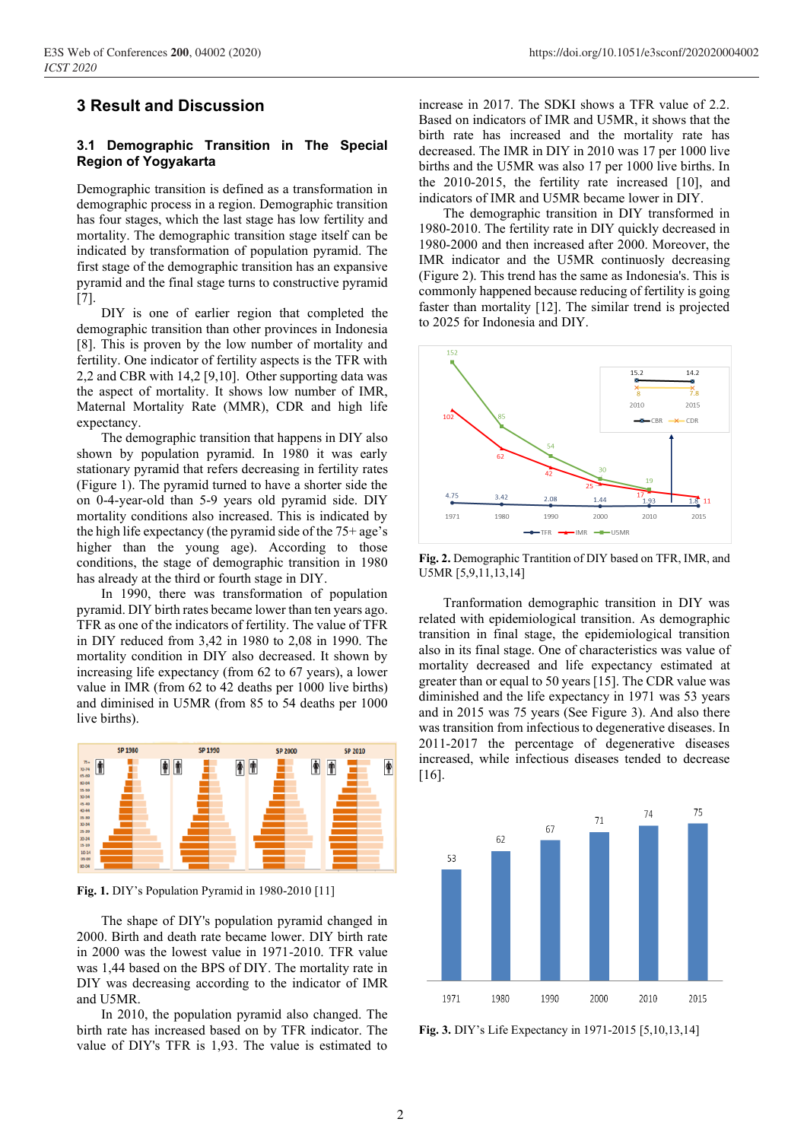### **3 Result and Discussion**

#### **3.1 Demographic Transition in The Special Region of Yogyakarta**

Demographic transition is defined as a transformation in demographic process in a region. Demographic transition has four stages, which the last stage has low fertility and mortality. The demographic transition stage itself can be indicated by transformation of population pyramid. The first stage of the demographic transition has an expansive pyramid and the final stage turns to constructive pyramid [7].

DIY is one of earlier region that completed the demographic transition than other provinces in Indonesia [8]. This is proven by the low number of mortality and fertility. One indicator of fertility aspects is the TFR with 2,2 and CBR with 14,2 [9,10]. Other supporting data was the aspect of mortality. It shows low number of IMR, Maternal Mortality Rate (MMR), CDR and high life expectancy.

The demographic transition that happens in DIY also shown by population pyramid. In 1980 it was early stationary pyramid that refers decreasing in fertility rates (Figure 1). The pyramid turned to have a shorter side the on 0-4-year-old than 5-9 years old pyramid side. DIY mortality conditions also increased. This is indicated by the high life expectancy (the pyramid side of the 75+ age's higher than the young age). According to those conditions, the stage of demographic transition in 1980 has already at the third or fourth stage in DIY.

In 1990, there was transformation of population pyramid. DIY birth rates became lower than ten years ago. TFR as one of the indicators of fertility. The value of TFR in DIY reduced from 3,42 in 1980 to 2,08 in 1990. The mortality condition in DIY also decreased. It shown by increasing life expectancy (from 62 to 67 years), a lower value in IMR (from 62 to 42 deaths per 1000 live births) and diminised in U5MR (from 85 to 54 deaths per 1000 live births).



**Fig. 1.** DIY's Population Pyramid in 1980-2010 [11]

The shape of DIY's population pyramid changed in 2000. Birth and death rate became lower. DIY birth rate in 2000 was the lowest value in 1971-2010. TFR value was 1,44 based on the BPS of DIY. The mortality rate in DIY was decreasing according to the indicator of IMR and U5MR.

In 2010, the population pyramid also changed. The birth rate has increased based on by TFR indicator. The value of DIY's TFR is 1,93. The value is estimated to

increase in 2017. The SDKI shows a TFR value of 2.2. Based on indicators of IMR and U5MR, it shows that the birth rate has increased and the mortality rate has decreased. The IMR in DIY in 2010 was 17 per 1000 live births and the U5MR was also 17 per 1000 live births. In the 2010-2015, the fertility rate increased [10], and indicators of IMR and U5MR became lower in DIY.

The demographic transition in DIY transformed in 1980-2010. The fertility rate in DIY quickly decreased in 1980-2000 and then increased after 2000. Moreover, the IMR indicator and the U5MR continuosly decreasing (Figure 2). This trend has the same as Indonesia's. This is commonly happened because reducing of fertility is going faster than mortality [12]. The similar trend is projected to 2025 for Indonesia and DIY.



**Fig. 2.** Demographic Trantition of DIY based on TFR, IMR, and U5MR [5,9,11,13,14]

Tranformation demographic transition in DIY was related with epidemiological transition. As demographic transition in final stage, the epidemiological transition also in its final stage. One of characteristics was value of mortality decreased and life expectancy estimated at greater than or equal to 50 years [15]. The CDR value was diminished and the life expectancy in 1971 was 53 years and in 2015 was 75 years (See Figure 3). And also there was transition from infectious to degenerative diseases. In 2011-2017 the percentage of degenerative diseases increased, while infectious diseases tended to decrease [16].



**Fig. 3.** DIY's Life Expectancy in 1971-2015 [5,10,13,14]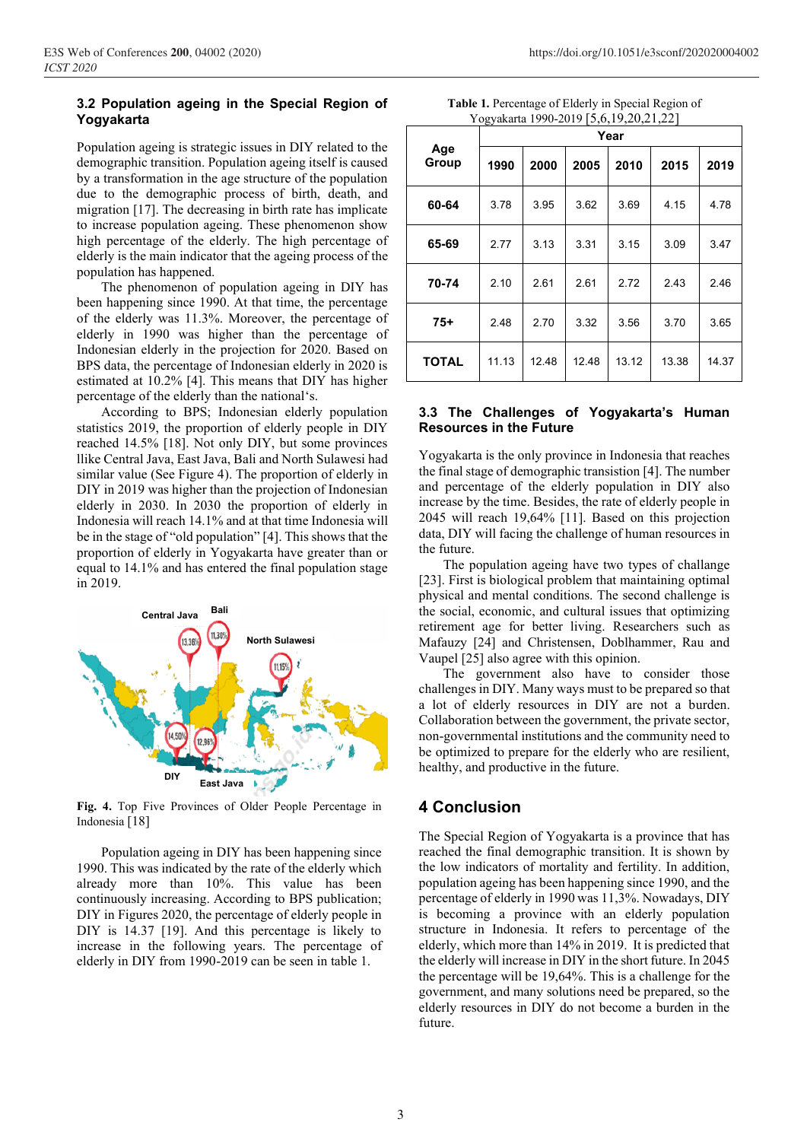#### **3.2 Population ageing in the Special Region of Yogyakarta**

Population ageing is strategic issues in DIY related to the demographic transition. Population ageing itself is caused by a transformation in the age structure of the population due to the demographic process of birth, death, and migration [17]. The decreasing in birth rate has implicate to increase population ageing. These phenomenon show high percentage of the elderly. The high percentage of elderly is the main indicator that the ageing process of the population has happened.

The phenomenon of population ageing in DIY has been happening since 1990. At that time, the percentage of the elderly was 11.3%. Moreover, the percentage of elderly in 1990 was higher than the percentage of Indonesian elderly in the projection for 2020. Based on BPS data, the percentage of Indonesian elderly in 2020 is estimated at 10.2% [4]. This means that DIY has higher percentage of the elderly than the national's.

According to BPS; Indonesian elderly population statistics 2019, the proportion of elderly people in DIY reached 14.5% [18]. Not only DIY, but some provinces llike Central Java, East Java, Bali and North Sulawesi had similar value (See Figure 4). The proportion of elderly in DIY in 2019 was higher than the projection of Indonesian elderly in 2030. In 2030 the proportion of elderly in Indonesia will reach 14.1% and at that time Indonesia will be in the stage of "old population" [4]. This shows that the proportion of elderly in Yogyakarta have greater than or equal to 14.1% and has entered the final population stage in 2019.



**Fig. 4.** Top Five Provinces of Older People Percentage in Indonesia [18]

Population ageing in DIY has been happening since 1990. This was indicated by the rate of the elderly which already more than 10%. This value has been continuously increasing. According to BPS publication; DIY in Figures 2020, the percentage of elderly people in DIY is 14.37 [19]. And this percentage is likely to increase in the following years. The percentage of elderly in DIY from 1990-2019 can be seen in table 1.

**Table 1.** Percentage of Elderly in Special Region of Yogyakarta 1990-2019 [5,6,19,20,21,22]

| Age<br>Group | Year  |       |       |       |       |       |
|--------------|-------|-------|-------|-------|-------|-------|
|              | 1990  | 2000  | 2005  | 2010  | 2015  | 2019  |
| 60-64        | 3.78  | 3.95  | 3.62  | 3.69  | 4.15  | 4.78  |
| 65-69        | 2.77  | 3.13  | 3.31  | 3.15  | 3.09  | 3.47  |
| 70-74        | 2.10  | 2.61  | 2.61  | 2.72  | 2.43  | 2.46  |
| $75+$        | 2.48  | 2.70  | 3.32  | 3.56  | 3.70  | 3.65  |
| <b>TOTAL</b> | 11.13 | 12.48 | 12.48 | 13.12 | 13.38 | 14.37 |

#### **3.3 The Challenges of Yogyakarta's Human Resources in the Future**

Yogyakarta is the only province in Indonesia that reaches the final stage of demographic transistion [4]. The number and percentage of the elderly population in DIY also increase by the time. Besides, the rate of elderly people in 2045 will reach 19,64% [11]. Based on this projection data, DIY will facing the challenge of human resources in the future.

The population ageing have two types of challange [23]. First is biological problem that maintaining optimal physical and mental conditions. The second challenge is the social, economic, and cultural issues that optimizing retirement age for better living. Researchers such as Mafauzy [24] and Christensen, Doblhammer, Rau and Vaupel [25] also agree with this opinion.

The government also have to consider those challenges in DIY. Many ways must to be prepared so that a lot of elderly resources in DIY are not a burden. Collaboration between the government, the private sector, non-governmental institutions and the community need to be optimized to prepare for the elderly who are resilient, healthy, and productive in the future.

## **4 Conclusion**

The Special Region of Yogyakarta is a province that has reached the final demographic transition. It is shown by the low indicators of mortality and fertility. In addition, population ageing has been happening since 1990, and the percentage of elderly in 1990 was 11,3%. Nowadays, DIY is becoming a province with an elderly population structure in Indonesia. It refers to percentage of the elderly, which more than 14% in 2019. It is predicted that the elderly will increase in DIY in the short future. In 2045 the percentage will be 19,64%. This is a challenge for the government, and many solutions need be prepared, so the elderly resources in DIY do not become a burden in the future.